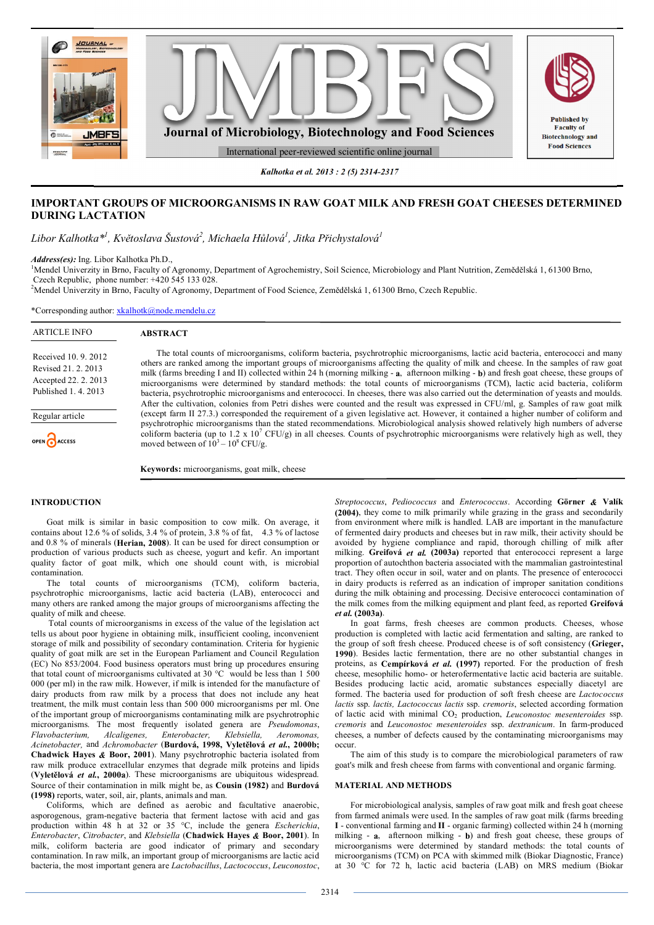

*Kalhotka et al. 2013 : 2 (5) 2314-2317*

# **IMPORTANT GROUPS OF MICROORGANISMS IN RAW GOAT MILK AND FRESH GOAT CHEESES DETERMINED DURING LACTATION**

*Libor Kalhotka\*<sup>1</sup> , Květoslava Šustová<sup>2</sup> , Michaela Hůlová<sup>1</sup> , Jitka Přichystalová<sup>1</sup>*

*Address(es):* Ing. Libor Kalhotka Ph.D.,

<sup>1</sup>Mendel Univerzity in Brno, Faculty of Agronomy, Department of Agrochemistry, Soil Science, Microbiology and Plant Nutrition, Zemědělská 1, 61300 Brno, Czech Republic, phone number: +420 545 133 028.

<sup>2</sup>Mendel Univerzity in Brno, Faculty of Agronomy, Department of Food Science, Zemědělská 1, 61300 Brno, Czech Republic.

\*Corresponding author: xkalhotk@node.mendelu.cz

ARTICLE INFO

# **ABSTRACT**

Received 10. 9. 2012 Revised 21. 2. 2013 Accepted 22. 2. 2013 Published 1. 4. 2013

Regular article

OPEN CACCESS

The total counts of microorganisms, coliform bacteria, psychrotrophic microorganisms, lactic acid bacteria, enterococci and many others are ranked among the important groups of microorganisms affecting the quality of milk and cheese. In the samples of raw goat milk (farms breeding I and II) collected within 24 h (morning milking - **a**, afternoon milking - **b**) and fresh goat cheese, these groups of microorganisms were determined by standard methods: the total counts of microorganisms (TCM), lactic acid bacteria, coliform bacteria, psychrotrophic microorganisms and enterococci. In cheeses, there was also carried out the determination of yeasts and moulds. After the cultivation, colonies from Petri dishes were counted and the result was expressed in CFU/ml, g. Samples of raw goat milk (except farm II 27.3.) corresponded the requirement of a given legislative act. However, it contained a higher number of coliform and psychrotrophic microorganisms than the stated recommendations. Microbiological analysis showed relatively high numbers of adverse coliform bacteria (up to 1.2 x  $10^7$  CFU/g) in all cheeses. Counts of psychrotrophic microorganisms were relatively high as well, they moved between of  $10^3 - 10^8$  CFU/g.

**Keywords:** microorganisms, goat milk, cheese

# **INTRODUCTION**

Goat milk is similar in basic composition to cow milk. On average, it contains about 12.6 % of solids, 3.4 % of protein, 3.8 % of fat, 4.3 % of lactose and 0.8 % of minerals (**Herian, 2008**). It can be used for direct consumption or production of various products such as cheese, yogurt and kefir. An important quality factor of goat milk, which one should count with, is microbial contamination.

The total counts of microorganisms (TCM), coliform bacteria, psychrotrophic microorganisms, lactic acid bacteria (LAB), enterococci and many others are ranked among the major groups of microorganisms affecting the quality of milk and cheese.

 Total counts of microorganisms in excess of the value of the legislation act tells us about poor hygiene in obtaining milk, insufficient cooling, inconvenient storage of milk and possibility of secondary contamination. Criteria for hygienic quality of goat milk are set in the European Parliament and Council Regulation (EC) No 853/2004. Food business operators must bring up procedures ensuring that total count of microorganisms cultivated at 30  $^{\circ}$ C would be less than 1 500 000 (per ml) in the raw milk. However, if milk is intended for the manufacture of dairy products from raw milk by a process that does not include any heat treatment, the milk must contain less than 500 000 microorganisms per ml. One of the important group of microorganisms contaminating milk are psychrotrophic microorganisms. The most frequently isolated genera are *Pseudomonas*, *Flavobacterium. Alcaligenes. Enterobacter. Klebsiella. Aeromonas. Flavobacterium, Alcaligenes, Enterobacter, Klebsiella, Aeromonas, Acinetobacter,* and *Achromobacter* (**Burdová, 1998, Vyletělová** *et al.***, 2000b; Chadwick Hayes** *&* **Boor, 2001**). Many psychrotrophic bacteria isolated from raw milk produce extracellular enzymes that degrade milk proteins and lipids (**Vyletělová** *et al.***, 2000a**). These microorganisms are ubiquitous widespread. Source of their contamination in milk might be, as **Cousin (1982)** and **Burdová (1998)** reports, water, soil, air, plants, animals and man.

Coliforms, which are defined as aerobic and facultative anaerobic, asporogenous, gram-negative bacteria that ferment lactose with acid and gas production within 48 h at 32 or 35 °C, include the genera *Escherichia*, *Enterobacter*, *Citrobacter*, and *Klebsiella* (**Chadwick Hayes** *&* **Boor, 2001**). In milk, coliform bacteria are good indicator of primary and secondary contamination. In raw milk, an important group of microorganisms are lactic acid bacteria, the most important genera are *Lactobacillus*, *Lactococcus*, *Leuconostoc*,

*Streptococcus*, *Pediococcus* and *Enterococcus*. According **Görner** *&* **Valík (2004)**, they come to milk primarily while grazing in the grass and secondarily from environment where milk is handled. LAB are important in the manufacture of fermented dairy products and cheeses but in raw milk, their activity should be avoided by hygiene compliance and rapid, thorough chilling of milk after milking. **Greifová** *et al.* **(2003a)** reported that enterococci represent a large proportion of autochthon bacteria associated with the mammalian gastrointestinal tract. They often occur in soil, water and on plants. The presence of enterococci in dairy products is referred as an indication of improper sanitation conditions during the milk obtaining and processing. Decisive enterococci contamination of the milk comes from the milking equipment and plant feed, as reported **Greifová**  *et al.* **(2003a)**.

In goat farms, fresh cheeses are common products. Cheeses, whose production is completed with lactic acid fermentation and salting, are ranked to the group of soft fresh cheese. Produced cheese is of soft consistency (**Grieger, 1990**). Besides lactic fermentation, there are no other substantial changes in proteins, as **Cempírková** *et al.* **(1997)** reported. For the production of fresh cheese, mesophilic homo- or heterofermentative lactic acid bacteria are suitable. Besides producing lactic acid, aromatic substances especially diacetyl are formed. The bacteria used for production of soft fresh cheese are *Lactococcus lactis* ssp. *lactis, Lactococcus lactis* ssp. *cremoris*, selected according formation of lactic acid with minimal CO<sup>2</sup> production, *Leuconostoc mesenteroides* ssp. *cremoris* and *Leuconostoc mesenteroides* ssp. *dextranicum*. In farm-produced cheeses, a number of defects caused by the contaminating microorganisms may occur.

The aim of this study is to compare the microbiological parameters of raw goat's milk and fresh cheese from farms with conventional and organic farming.

## **MATERIAL AND METHODS**

For microbiological analysis, samples of raw goat milk and fresh goat cheese from farmed animals were used. In the samples of raw goat milk (farms breeding **I** - conventional farming and **II** - organic farming) collected within 24 h (morning milking - **a**, afternoon milking - **b**) and fresh goat cheese, these groups of microorganisms were determined by standard methods: the total counts of microorganisms (TCM) on PCA with skimmed milk (Biokar Diagnostic, France) at 30 °C for 72 h, lactic acid bacteria (LAB) on MRS medium (Biokar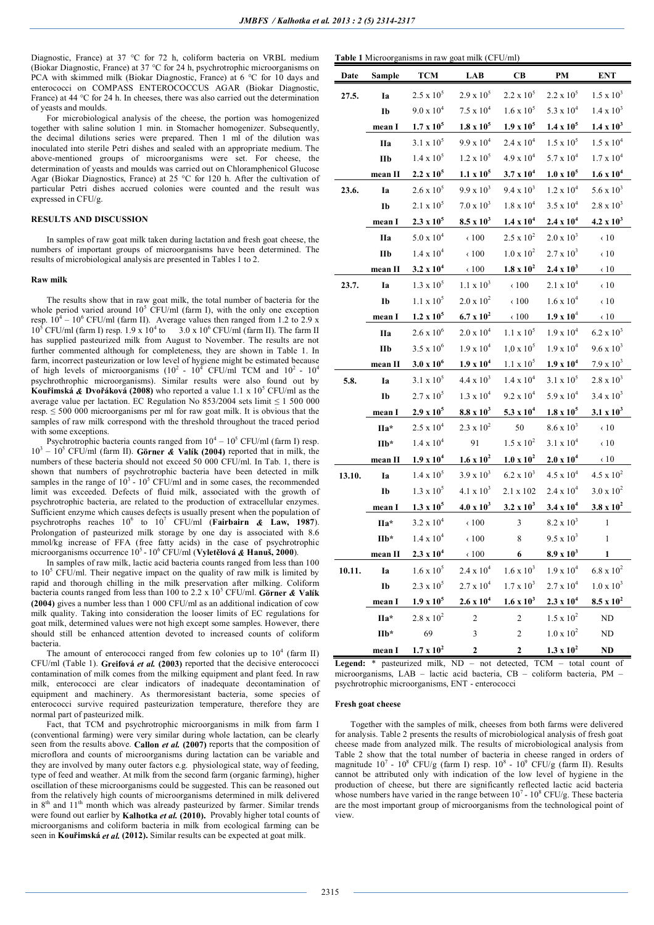Diagnostic, France) at 37 °C for 72 h, coliform bacteria on VRBL medium (Biokar Diagnostic, France) at 37 °C for 24 h, psychrotrophic microorganisms on PCA with skimmed milk (Biokar Diagnostic, France) at 6 °C for 10 days and enterococci on COMPASS ENTEROCOCCUS AGAR (Biokar Diagnostic, France) at 44 °C for 24 h. In cheeses, there was also carried out the determination of yeasts and moulds.

For microbiological analysis of the cheese, the portion was homogenized together with saline solution 1 min. in Stomacher homogenizer. Subsequently, the decimal dilutions series were prepared. Then 1 ml of the dilution was inoculated into sterile Petri dishes and sealed with an appropriate medium. The above-mentioned groups of microorganisms were set. For cheese, the determination of yeasts and moulds was carried out on Chloramphenicol Glucose Agar (Biokar Diagnostics, France) at 25 °C for 120 h. After the cultivation of particular Petri dishes accrued colonies were counted and the result was expressed in CFU/g.

## **RESULTS AND DISCUSSION**

In samples of raw goat milk taken during lactation and fresh goat cheese, the numbers of important groups of microorganisms have been determined. The results of microbiological analysis are presented in Tables 1 to 2.

#### **Raw milk**

The results show that in raw goat milk, the total number of bacteria for the whole period varied around  $10^5$  CFU/ml (farm I), with the only one exception resp.  $10^4 - 10^6$  CFU/ml (farm II). Average values then ranged from 1.2 to 2.9 x  $10^5$  CFU/ml (farm I) resp. 1.9 x  $10^4$  to 3.0 x  $10^6$  CFU/ml (farm II). The farm II has supplied pasteurized milk from August to November. The results are not further commented although for completeness, they are shown in Table 1. In farm, incorrect pasteurization or low level of hygiene might be estimated because of high levels of microorganisms ( $10^2$  -  $10^4$  CFU/ml TCM and  $10^2$  -  $10^4$ psychrothrophic microorganisms). Similar results were also found out by **Kouřimská** *&* **Dvořáková (2008)** who reported a value 1.1 x 10<sup>5</sup> CFU/ml as the average value per lactation. EC Regulation No  $853/2004$  sets limit  $\leq 1,500,000$ resp.  $\leq$  500 000 microorganisms per ml for raw goat milk. It is obvious that the samples of raw milk correspond with the threshold throughout the traced period with some exceptions.

Psychrotrophic bacteria counts ranged from  $10^4 - 10^5$  CFU/ml (farm I) resp.  $10^3 - 10^5$  CFU/ml (farm II). Görner & Valík (2004) reported that in milk, the numbers of these bacteria should not exceed 50 000 CFU/ml. In Tab. 1, there is shown that numbers of psychrotrophic bacteria have been detected in milk samples in the range of  $10^3$  -  $10^5$  CFU/ml and in some cases, the recommended limit was exceeded. Defects of fluid milk, associated with the growth of psychrotrophic bacteria, are related to the production of extracellular enzymes. Sufficient enzyme which causes defects is usually present when the population of psychrotrophs reaches  $10^6$  to  $10^7$  CFU/ml (**Fairbairn & Law, 1987**). Prolongation of pasteurized milk storage by one day is associated with 8.6 mmol/kg increase of FFA (free fatty acids) in the case of psychrotrophic microorganisms occurrence 10<sup>5</sup> - 10<sup>6</sup> CFU/ml (**Vyletělová** *&* **Hanuš, 2000**).

In samples of raw milk, lactic acid bacteria counts ranged from less than 100 to  $10^5$  CFU/ml. Their negative impact on the quality of raw milk is limited by rapid and thorough chilling in the milk preservation after milking. Coliform bacteria counts ranged from less than 100 to 2.2 x 10<sup>5</sup> CFU/ml. **Görner** *&* **Valík (2004)** gives a number less than 1 000 CFU/ml as an additional indication of cow milk quality. Taking into consideration the looser limits of EC regulations for goat milk, determined values were not high except some samples. However, there should still be enhanced attention devoted to increased counts of coliform bacteria.

The amount of enterococci ranged from few colonies up to  $10^4$  (farm II) CFU/ml (Table 1). **Greifová** *et al.* **(2003)** reported that the decisive enterococci contamination of milk comes from the milking equipment and plant feed. In raw milk, enterococci are clear indicators of inadequate decontamination of equipment and machinery. As thermoresistant bacteria, some species of enterococci survive required pasteurization temperature, therefore they are normal part of pasteurized milk.

Fact, that TCM and psychrotrophic microorganisms in milk from farm I (conventional farming) were very similar during whole lactation, can be clearly seen from the results above. **Callon** *et al.* **(2007)** reports that the composition of microflora and counts of microorganisms during lactation can be variable and they are involved by many outer factors e.g. physiological state, way of feeding, type of feed and weather. At milk from the second farm (organic farming), higher oscillation of these microorganisms could be suggested. This can be reasoned out from the relatively high counts of microorganisms determined in milk delivered in  $8<sup>th</sup>$  and  $11<sup>th</sup>$  month which was already pasteurized by farmer. Similar trends were found out earlier by **Kalhotka** *et al.* **(2010).** Provably higher total counts of microorganisms and coliform bacteria in milk from ecological farming can be seen in **Kouřimská** *et al.* **(2012).** Similar results can be expected at goat milk.

|  |  | <b>Table 1</b> Microorganisms in raw goat milk (CFU/ml) |  |
|--|--|---------------------------------------------------------|--|
|  |  |                                                         |  |

| Date   | <b>Sample</b>     | <b>TCM</b>          | LAB                 | $\overline{\mathbf{CB}}$ | <b>PM</b>           | <b>ENT</b>          |
|--------|-------------------|---------------------|---------------------|--------------------------|---------------------|---------------------|
| 27.5.  | Ia                | $2.5 \ge 10^5$      | $2.9 \times 10^{5}$ | $2.2 \times 10^5$        | $2.2 \times 10^5$   | $1.5 \times 10^3$   |
|        | Ib                | $9.0 \times 10^{4}$ | $7.5 \ge 10^4$      | $1.6 \times 10^5$        | 5.3 x $10^4$        | $1.4 \times 10^{3}$ |
|        | mean I            | $1.7 \times 10^5$   | $1.8 \times 10^5$   | $1.9 \times 10^5$        | $1.4 \times 10^5$   | $1.4 \times 10^{3}$ |
|        | <b>IIa</b>        | $3.1 \times 10^{5}$ | $9.9 \times 10^{4}$ | $2.4 \times 10^{4}$      | $1.5 \times 10^{5}$ | $1.5 \times 10^{4}$ |
|        | $I$ Ib            | $1.4 \times 10^{5}$ | $1.2 \times 10^{5}$ | $4.9 \times 10^{4}$      | $5.7 \times 10^4$   | $1.7 \times 10^4$   |
|        | mean II           | $2.2 \times 10^5$   | $1.1 \times 10^5$   | $3.7 \times 10^4$        | $1.0 \times 10^5$   | $1.6 \times 10^{4}$ |
| 23.6.  | Ia                | $2.6 \times 10^{5}$ | $9.9 \times 10^{3}$ | $9.4 \times 10^3$        | $1.2 \times 10^{4}$ | $5.6 \times 10^3$   |
|        | Ib                | $2.1 \times 10^{5}$ | $7.0 \times 10^3$   | $1.8 \times 10^{4}$      | $3.5 \times 10^{4}$ | $2.8 \times 10^{3}$ |
|        | mean I            | $2.3 \times 10^5$   | $8.5 \times 10^3$   | $1.4 \times 10^{4}$      | $2.4 \times 10^{4}$ | $4.2 \times 10^{3}$ |
|        | <b>IIa</b>        | $5.0 \times 10^{4}$ | $\epsilon$ 100      | $2.5 \times 10^{2}$      | $2.0 \times 10^3$   | $\langle$ 10        |
|        | IIb               | $1.4 \ge 10^4$      | $\langle 100$       | $1.0 \times 10^{2}$      | $2.7 \times 10^3$   | $\langle$ 10        |
|        | mean II           | $3.2 \times 10^{4}$ | $\langle 100$       | $1.8 \times 10^2$        | $2.4 \times 10^3$   | $\langle 10$        |
| 23.7.  | Ia                | $1.3 \times 10^{5}$ | $1.1 \times 10^3$   | $\epsilon$ 100           | $2.1 \times 10^{4}$ | $\langle 10$        |
|        | Ib                | $1.1 \times 10^5$   | $2.0 \times 10^{2}$ | $\epsilon$ 100           | $1.6 \times 10^{4}$ | $\langle$ 10        |
|        | mean I            | $1.2 \times 10^5$   | $6.7 \times 10^{2}$ | $\epsilon$ 100           | $1.9 \times 10^{4}$ | $\langle$ 10        |
|        | <b>IIa</b>        | $2.6 \times 10^{6}$ | $2.0 \times 10^{4}$ | $1.1 \ge 10^5$           | $1.9 \times 10^{4}$ | $6.2 \times 10^{3}$ |
|        | IIb               | $3.5 \times 10^{6}$ | $1.9 \times 10^{4}$ | $1,0 \times 10^5$        | $1.9 \times 10^{4}$ | $9.6 \times 10^{3}$ |
|        | mean II           | $3.0 x 10^6$        | $1.9 \times 10^{4}$ | $1.1 \times 10^5$        | $1.9 \times 10^{4}$ | $7.9 \times 10^3$   |
| 5.8.   | Ia                | $3.1 \times 10^5$   | $4.4 \times 10^{3}$ | $1.4 \times 10^{4}$      | $3.1 \times 10^5$   | $2.8 \times 10^{3}$ |
|        | Ib                | $2.7 \times 10^5$   | $1.3 \times 10^{4}$ | $9.2 \times 10^{4}$      | $5.9 \times 10^{4}$ | $3.4 \times 10^{3}$ |
|        | mean <sub>I</sub> | $2.9 \times 10^5$   | $8.8 \times 10^3$   | 5.3 x $10^4$             | $1.8 \times 10^5$   | $3.1 \times 10^3$   |
|        | IIa*              | $2.5 \times 10^{4}$ | $2.3 \times 10^{2}$ | 50                       | $8.6 \times 10^3$   | $\langle 10$        |
|        | IIb*              | $1.4 \ge 10^4$      | 91                  | $1.5 \times 10^{2}$      | $3.1 \times 10^{4}$ | $\epsilon$ 10       |
|        | mean II           | $1.9 \times 10^{4}$ | $1.6 \times 10^2$   | $1.0 \times 10^{2}$      | $2.0 \times 10^{4}$ | $\langle$ 10        |
| 13.10. | Ia                | $1.4 \times 10^5$   | $3.9 \times 10^{3}$ | $6.2 \times 10^{3}$      | $4.5 \times 10^{4}$ | $4.5 \times 10^{2}$ |
|        | Ib                | $1.3 \times 10^5$   | $4.1 \times 10^3$   | $2.1 \times 102$         | $2.4 \ge 10^4$      | $3.0 \times 10^{2}$ |
|        | mean I            | $1.3 \times 10^5$   | $4.0 \times 10^{3}$ | $3.2 \times 10^3$        | $3.4 \times 10^{4}$ | $3.8 \times 10^{2}$ |
|        | IIa*              | $3.2 \times 10^{4}$ | $\langle 100$       | $\mathfrak z$            | $8.2 \times 10^3$   | $\mathbf{1}$        |
|        | IIb*              | $1.4 \times 10^{4}$ | $\epsilon$ 100      | 8                        | $9.5 \times 10^3$   | $\mathbf{1}$        |
|        | mean II           | $2.3 \times 10^4$   | $\langle 100$       | 6                        | $8.9 \times 10^3$   | 1                   |
| 10.11. | Ia                | $1.6 \times 10^5$   | $2.4 \times 10^{4}$ | $1.6 \times 10^3$        | $1.9 \times 10^{4}$ | $6.8 \ge 10^2$      |
|        | Ib                | $2.3 \times 10^{5}$ | $2.7 \times 10^{4}$ | $1.7 \times 10^3$        | $2.7 \times 10^{4}$ | $1.0 \ge 10^3$      |
|        | mean I            | $1.9 \times 10^5$   | $2.6 \times 10^{4}$ | $1.6 \times 10^3$        | $2.3 \times 10^{4}$ | $8.5 \times 10^2$   |
|        | IIa*              | $2.8 \times 10^{2}$ | $\mathbf{2}$        | $\overline{c}$           | $1.5 \times 10^{2}$ | $\rm ND$            |
|        | $IIb*$            | 69                  | 3                   | $\boldsymbol{2}$         | $1.0 \ge 10^2$      | $\rm ND$            |
|        | mean I            | $1.7 \times 10^{2}$ | $\mathbf 2$         | 2                        | $1.3 \times 10^{2}$ | <b>ND</b>           |

**Legend:** \* pasteurized milk, ND – not detected, TCM – total count of microorganisms, LAB – lactic acid bacteria, CB – coliform bacteria, PM – psychrotrophic microorganisms, ENT - enterococci

#### **Fresh goat cheese**

Together with the samples of milk, cheeses from both farms were delivered for analysis. Table 2 presents the results of microbiological analysis of fresh goat cheese made from analyzed milk. The results of microbiological analysis from Table 2 show that the total number of bacteria in cheese ranged in orders of magnitude  $10^7$  -  $10^8$  CFU/g (farm I) resp.  $10^8$  -  $10^9$  CFU/g (farm II). Results cannot be attributed only with indication of the low level of hygiene in the production of cheese, but there are significantly reflected lactic acid bacteria whose numbers have varied in the range between  $10<sup>7</sup>$  -  $10<sup>8</sup>$  CFU/g. These bacteria are the most important group of microorganisms from the technological point of view.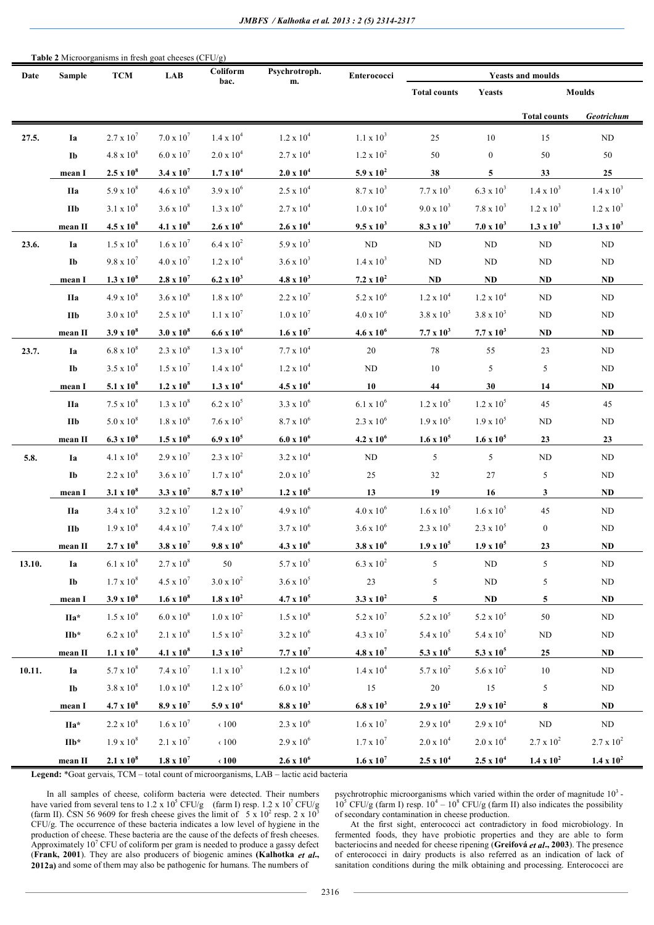| Table 2 Microorganisms in fresh goat cheeses (CFU/g) |                        |                     |                     |                     |                     |                     |                     |                        |                          |                     |  |
|------------------------------------------------------|------------------------|---------------------|---------------------|---------------------|---------------------|---------------------|---------------------|------------------------|--------------------------|---------------------|--|
| Date                                                 | <b>Sample</b>          | <b>TCM</b>          | <b>LAB</b>          | Coliform<br>bac.    | Psychrotroph.<br>m. | Enterococci         |                     |                        | <b>Yeasts and moulds</b> |                     |  |
|                                                      |                        |                     |                     |                     |                     |                     | <b>Total counts</b> | <b>Yeasts</b>          | <b>Moulds</b>            |                     |  |
|                                                      |                        |                     |                     |                     |                     |                     |                     |                        | <b>Total counts</b>      | Geotrichum          |  |
| 27.5.                                                | Ia                     | $2.7 \times 10^{7}$ | $7.0 \times 10^7$   | $1.4 \ge 10^4$      | $1.2 \times 10^{4}$ | $1.1 \times 10^3$   | 25                  | $10\,$                 | 15                       | $\rm ND$            |  |
|                                                      | Ib                     | $4.8 \times 10^8$   | $6.0 \times 10^{7}$ | $2.0 \times 10^{4}$ | $2.7 \times 10^4$   | $1.2 \times 10^2$   | 50                  | $\boldsymbol{0}$       | $50\,$                   | 50                  |  |
|                                                      | mean I                 | $2.5 \times 10^8$   | 3.4 x $10^7$        | $1.7 \times 10^4$   | $2.0 \times 10^{4}$ | $5.9 \times 10^{2}$ | 38                  | 5                      | 33                       | 25                  |  |
|                                                      | <b>IIa</b>             | $5.9 \times 10^{8}$ | $4.6 \times 10^8$   | $3.9 \times 10^{6}$ | $2.5 \times 10^{4}$ | $8.7 \times 10^3$   | $7.7 \times 10^3$   | $6.3 \times 10^{3}$    | $1.4 \times 10^3$        | $1.4 \times 10^3$   |  |
|                                                      | $\mathbf{IIb}$         | $3.1 \times 10^8$   | $3.6 \times 10^{8}$ | $1.3 \times 10^{6}$ | $2.7 \times 10^{4}$ | $1.0 \times 10^4$   | $9.0 \times 10^3$   | $7.8 \times 10^3$      | $1.2 \times 10^3$        | $1.2 \times 10^3$   |  |
|                                                      | mean II                | $4.5 \times 10^8$   | $4.1 \times 10^8$   | $2.6 \times 10^{6}$ | $2.6 \times 10^{4}$ | $9.5 \times 10^3$   | $8.3 \times 10^3$   | $7.0 \times 10^3$      | $1.3 \times 10^3$        | $1.3 \times 10^3$   |  |
| 23.6.                                                | Ia                     | $1.5 \times 10^8$   | $1.6 \times 10^{7}$ | $6.4 \times 10^{2}$ | $5.9 \times 10^3$   | $\rm ND$            | $\rm ND$            | $\rm ND$               | $\rm ND$                 | $\rm ND$            |  |
|                                                      | Ib                     | $9.8 \times 10^{7}$ | $4.0 \times 10^{7}$ | $1.2 \times 10^{4}$ | $3.6 \times 10^3$   | $1.4 \times 10^3$   | ND                  | ND                     | ND                       | ND                  |  |
|                                                      | mean I                 | $1.3 \times 10^8$   | $2.8 \times 10^7$   | $6.2 \times 10^3$   | $4.8 \times 10^3$   | $7.2 \times 10^2$   | $\bf ND$            | ND                     | ND                       | $\bf ND$            |  |
|                                                      | <b>IIa</b>             | $4.9 \times 10^8$   | $3.6 \times 10^8$   | $1.8 \ge 10^6$      | $2.2 \times 10^{7}$ | $5.2 \times 10^{6}$ | $1.2 \times 10^4$   | $1.2 \times 10^{4}$    | ND                       | ND                  |  |
|                                                      | <b>IIb</b>             | $3.0 \times 10^8$   | $2.5 \times 10^8$   | $1.1 \times 10^7$   | $1.0 \times 10^{7}$ | $4.0 \ge 10^6$      | $3.8 \times 10^3$   | $3.8 \times 10^3$      | ND                       | ND                  |  |
|                                                      | mean II                | $3.9 \times 10^8$   | $3.0 \times 10^8$   | $6.6 \times 10^{6}$ | $1.6 \times 10^{7}$ | $4.6 \times 10^{6}$ | $7.7 \times 10^3$   | $7.7 \times 10^3$      | $\bf ND$                 | ND                  |  |
| 23.7.                                                | Ia                     | $6.8 \times 10^{8}$ | $2.3 \times 10^8$   | $1.3 \times 10^{4}$ | $7.7 \ge 10^4$      | 20                  | 78                  | 55                     | 23                       | ND                  |  |
|                                                      | Ib                     | $3.5 \times 10^8$   | $1.5 \times 10^{7}$ | $1.4 \times 10^{4}$ | $1.2 \times 10^{4}$ | $\rm ND$            | $10\,$              | $\sqrt{5}$             | 5                        | ND                  |  |
|                                                      | mean I                 | 5.1 x $10^8$        | $1.2 \times 10^8$   | $1.3 \times 10^{4}$ | $4.5 \times 10^{4}$ | 10                  | 44                  | 30                     | 14                       | $\bf ND$            |  |
|                                                      | <b>IIa</b>             | $7.5 \times 10^8$   | $1.3 \times 10^8$   | $6.2 \ge 10^5$      | $3.3 \ge 10^6$      | $6.1 \ge 10^6$      | $1.2 \ge 10^5$      | $1.2 \times 10^5$      | 45                       | 45                  |  |
|                                                      | <b>IIb</b>             | $5.0 \times 10^8$   | $1.8 \times 10^8$   | $7.6 \times 10^5$   | $8.7 \times 10^6$   | $2.3 \times 10^{6}$ | $1.9 \times 10^5$   | $1.9 \times 10^{5}$    | ND                       | ND                  |  |
|                                                      | mean II                | $6.3 \times 10^8$   | $1.5 \times 10^8$   | $6.9 \times 10^5$   | $6.0 x 10^6$        | $4.2 \times 10^{6}$ | $1.6 \times 10^5$   | $1.6 \times 10^5$      | 23                       | 23                  |  |
| 5.8.                                                 | Ia                     | $4.1 \times 10^8$   | $2.9 \times 10^{7}$ | $2.3 \times 10^2$   | $3.2 \times 10^{4}$ | $\rm ND$            | 5                   | 5                      | $\rm ND$                 | $\rm ND$            |  |
|                                                      | Ib                     | $2.2 \times 10^8$   | $3.6 \times 10^{7}$ | $1.7 \ge 10^4$      | $2.0 \times 10^5$   | 25                  | 32                  | $27\,$                 | 5                        | $\rm ND$            |  |
|                                                      | mean I                 | $3.1 \times 10^8$   | $3.3 \times 10^{7}$ | $8.7 \times 10^3$   | $1.2 \times 10^5$   | 13                  | 19                  | 16                     | 3                        | $\mathbf{ND}$       |  |
|                                                      | <b>IIa</b>             | $3.4 \times 10^8$   | $3.2 \times 10^{7}$ | $1.2 \times 10^7$   | $4.9 \times 10^{6}$ | $4.0 \times 10^{6}$ | $1.6 \times 10^5$   | $1.6 \times 10^5$      | 45                       | ND                  |  |
|                                                      | $\mathbf{IIb}$         | $1.9 \times 10^8$   | $4.4 \times 10^{7}$ | $7.4 \times 10^6$   | $3.7 \times 10^{6}$ | $3.6 \times 10^{6}$ | $2.3 \times 10^{5}$ | $2.3 \times 10^{5}$    | $\boldsymbol{0}$         | $\rm ND$            |  |
|                                                      | mean II                | $2.7 \times 10^8$   | $3.8 \times 10^7$   | $9.8 \times 10^6$   | $4.3 \times 10^{6}$ | $3.8 \times 10^{6}$ | $1.9 \times 10^5$   | $1.9 \times 10^5$      | 23                       | $\bf ND$            |  |
| 13.10.                                               | Ia                     | $6.1 \times 10^8$   | $2.7 \times 10^8$   | 50                  | 5.7 x $10^5$        | $6.3 \times 10^{2}$ | 5                   | ND                     | 5                        | ND                  |  |
|                                                      | Ib                     | $1.7 \times 10^8$   | $4.5 \times 10^7$   | $3.0 \times 10^{2}$ | $3.6 \times 10^5$   | $23\,$              | 5                   | $\rm ND$               | 5                        | $\rm ND$            |  |
|                                                      | mean I                 | $3.9 \times 10^{8}$ | $1.6 \times 10^8$   | $1.8 \times 10^2$   | $4.7 \times 10^5$   | $3.3 \times 10^2$   | 5                   | $\mathbf{N}\mathbf{D}$ | 5                        | $\bf ND$            |  |
|                                                      | IIa*                   | $1.5 \times 10^{9}$ | $6.0 \times 10^8$   | $1.0 \times 10^{2}$ | $1.5 \times 10^8$   | $5.2 \times 10^7$   | $5.2 \times 10^5$   | $5.2 \times 10^5$      | 50                       | ND                  |  |
|                                                      | $\mathbf{IIb}^{\star}$ | $6.2 \times 10^8$   | $2.1 \times 10^8$   | $1.5 \times 10^2$   | $3.2 \times 10^{6}$ | $4.3 \times 10^{7}$ | $5.4 \times 10^{5}$ | $5.4 \times 10^{5}$    | $\rm ND$                 | $\rm ND$            |  |
|                                                      | mean <sub>II</sub>     | $1.1 \times 10^{9}$ | $4.1 \times 10^8$   | 1.3 x $10^2$        | $7.7 \times 10^7$   | $4.8 \times 10^{7}$ | $5.3 \times 10^5$   | $5.3 \times 10^5$      | 25                       | $\bf ND$            |  |
| 10.11.                                               | Ia                     | $5.7 \times 10^8$   | $7.4 \ge 10^7$      | $1.1 \times 10^3$   | $1.2 \times 10^{4}$ | $1.4 \times 10^{4}$ | $5.7 \times 10^2$   | $5.6 \times 10^{2}$    | $10\,$                   | ND                  |  |
|                                                      | Ib                     | $3.8 \times 10^8$   | $1.0 \times 10^8$   | $1.2 \times 10^5$   | $6.0 \times 10^3$   | $15\,$              | $20\,$              | 15                     | 5                        | $\rm ND$            |  |
|                                                      | mean I                 | $4.7 \times 10^8$   | $8.9 \times 10^{7}$ | $5.9 \times 10^{4}$ | $8.8 \times 10^3$   | $6.8 \times 10^3$   | $2.9 \times 10^{2}$ | $2.9 \times 10^{2}$    | 8                        | $\bf ND$            |  |
|                                                      | IIa*                   | $2.2 \times 10^8$   | $1.6 \times 10^{7}$ | $\langle 100$       | $2.3 \times 10^6$   | $1.6 \times 10^{7}$ | $2.9 \ge 10^4$      | $2.9 \times 10^{4}$    | $\rm ND$                 | $\rm ND$            |  |
|                                                      | $\mathbf{IIb}^{\star}$ | $1.9 \ge 10^8$      | $2.1 \times 10^7$   | $\langle 100$       | $2.9 \times 10^{6}$ | $1.7 \ge 10^7$      | $2.0 \ge 10^4$      | $2.0 \ge 10^4$         | $2.7 \times 10^2$        | $2.7 \ge 10^2$      |  |
|                                                      | mean II                | $2.1 \times 10^8$   | $1.8 \times 10^7$   | $\langle 100$       | $2.6 \times 10^{6}$ | $1.6 \times 10^7$   | $2.5 \times 10^{4}$ | $2.5 \times 10^4$      | $1.4 \times 10^2$        | $1.4 \times 10^{2}$ |  |

**Legend:** \*Goat gervais, TCM – total count of microorganisms, LAB – lactic acid bacteria

In all samples of cheese, coliform bacteria were detected. Their numbers have varied from several tens to  $1.2 \times 10^5$  CFU/g (farm I) resp.  $1.2 \times 10^7$  CFU/g (farm II). ČSN 56 9609 for fresh cheese gives the limit of  $5 \times 10^2$  resp. 2 x  $10^3$ CFU/g. The occurrence of these bacteria indicates a low level of hygiene in the production of cheese. These bacteria are the cause of the defects of fresh cheeses. Approximately  $10<sup>7</sup>$  CFU of coliform per gram is needed to produce a gassy defect (**Frank, 2001**). They are also producers of biogenic amines **(Kalhotka** *et al***., 2012a)** and some of them may also be pathogenic for humans. The numbers of

psychrotrophic microorganisms which varied within the order of magnitude  $10<sup>3</sup>$  - $10^5$  CFU/g (farm I) resp.  $10^4 - 10^8$  CFU/g (farm II) also indicates the possibility of secondary contamination in cheese production.

At the first sight, enterococci act contradictory in food microbiology. In fermented foods, they have probiotic properties and they are able to form bacteriocins and needed for cheese ripening (**Greifová** *et al***., 2003**). The presence of enterococci in dairy products is also referred as an indication of lack of sanitation conditions during the milk obtaining and processing. Enterococci are